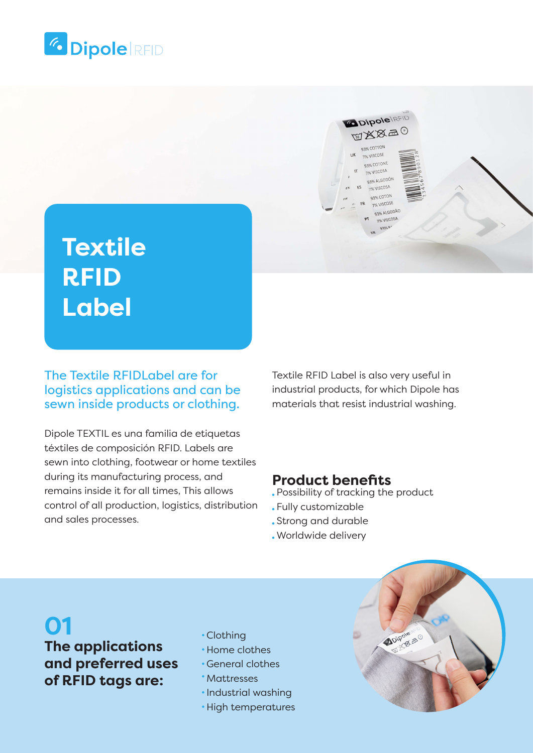

# **Textile RFID Label**

### The Textile RFIDLabel are for logistics applications and can be sewn inside products or clothing.

Dipole TEXTIL es una familia de etiquetas téxtiles de composición RFID. Labels are sewn into clothing, footwear or home textiles during its manufacturing process, and remains inside it for all times, This allows control of all production, logistics, distribution and sales processes.

Textile RFID Label is also very useful in industrial products, for which Dipole has materials that resist industrial washing.

**ODipole REID** TAXA-0 93% COTTON 7% VISCOSE 93% COTONE 7% VISCOSA 93% ALGODÓ 7% VISCOSA 13% COTO 7% VISCOS 93% ALGODÃO % VISCOSA

### **Product benefits**

- Possibility of tracking the product
- Fully customizable
- Strong and durable
- Worldwide delivery

# **01**

## **The applications and preferred uses of RFID tags are:**

- Clothing
- Home clothes
- General clothes
- Mattresses
- · Industrial washing
- High temperatures